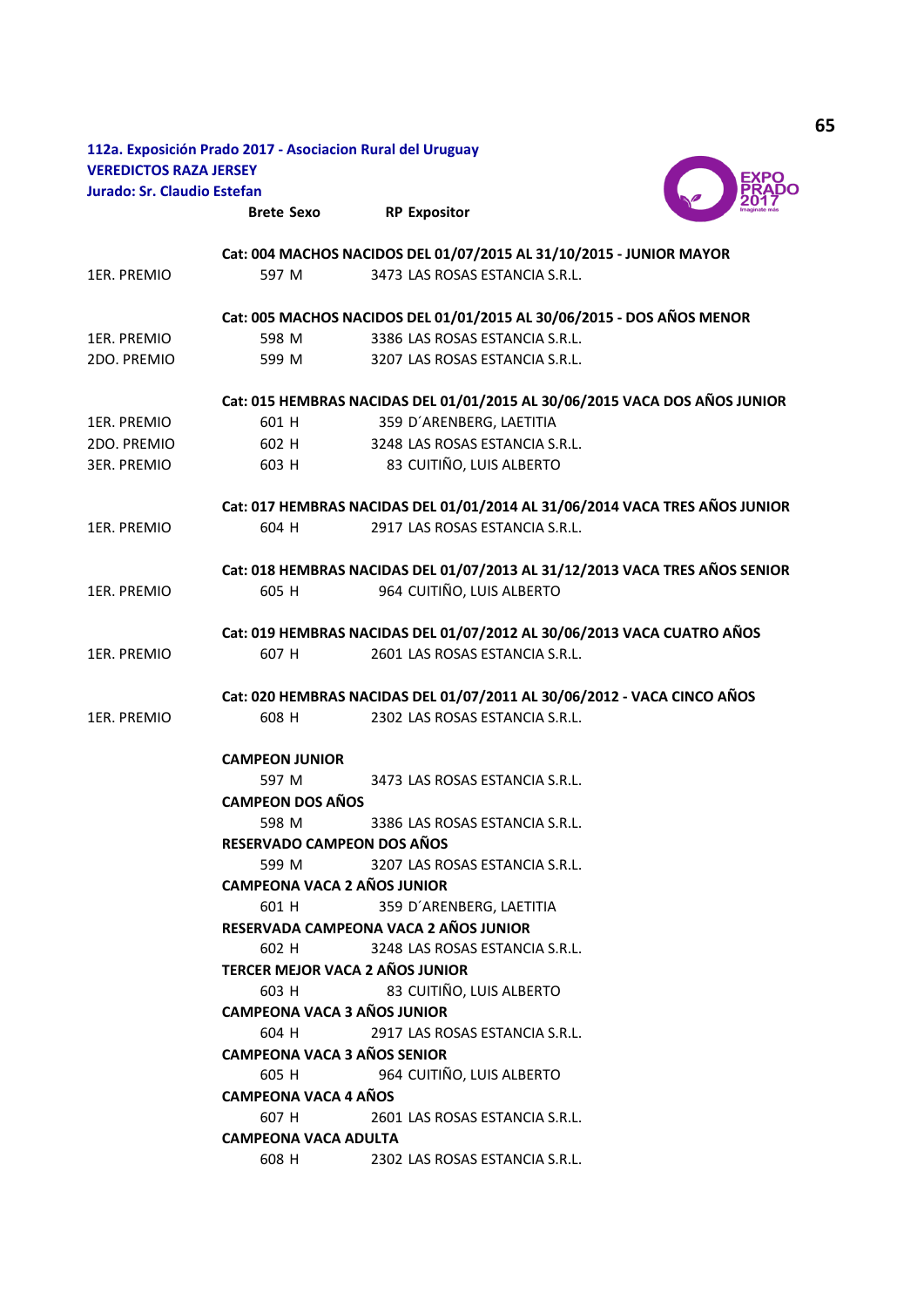|                               | 112a. Exposición Prado 2017 - Asociacion Rural del Uruguay              |                                                                             |
|-------------------------------|-------------------------------------------------------------------------|-----------------------------------------------------------------------------|
| <b>VEREDICTOS RAZA JERSEY</b> |                                                                         |                                                                             |
| Jurado: Sr. Claudio Estefan   |                                                                         |                                                                             |
|                               | <b>Brete Sexo</b>                                                       | <b>RP Expositor</b>                                                         |
|                               |                                                                         | Cat: 004 MACHOS NACIDOS DEL 01/07/2015 AL 31/10/2015 - JUNIOR MAYOR         |
| 1ER. PREMIO                   | 597 M                                                                   | 3473 LAS ROSAS ESTANCIA S.R.L.                                              |
|                               |                                                                         | Cat: 005 MACHOS NACIDOS DEL 01/01/2015 AL 30/06/2015 - DOS AÑOS MENOR       |
| 1ER. PREMIO                   | 598 M                                                                   | 3386 LAS ROSAS ESTANCIA S.R.L.                                              |
| 2DO. PREMIO                   | 599 M                                                                   | 3207 LAS ROSAS ESTANCIA S.R.L.                                              |
|                               |                                                                         | Cat: 015 HEMBRAS NACIDAS DEL 01/01/2015 AL 30/06/2015 VACA DOS AÑOS JUNIOR  |
| 1ER. PREMIO                   | 601 H                                                                   | 359 D'ARENBERG, LAETITIA                                                    |
| 2DO. PREMIO                   | 602 H                                                                   | 3248 LAS ROSAS ESTANCIA S.R.L.                                              |
| 3ER. PREMIO                   | 603 H                                                                   | 83 CUITIÑO, LUIS ALBERTO                                                    |
|                               |                                                                         | Cat: 017 HEMBRAS NACIDAS DEL 01/01/2014 AL 31/06/2014 VACA TRES AÑOS JUNIOR |
| 1ER. PREMIO                   | 604 H                                                                   | 2917 LAS ROSAS ESTANCIA S.R.L.                                              |
|                               |                                                                         | Cat: 018 HEMBRAS NACIDAS DEL 01/07/2013 AL 31/12/2013 VACA TRES AÑOS SENIOR |
| 1ER. PREMIO                   | 605 H                                                                   | 964 CUITIÑO, LUIS ALBERTO                                                   |
|                               | Cat: 019 HEMBRAS NACIDAS DEL 01/07/2012 AL 30/06/2013 VACA CUATRO AÑOS  |                                                                             |
| 1ER. PREMIO                   | 607 H                                                                   | 2601 LAS ROSAS ESTANCIA S.R.L.                                              |
|                               | Cat: 020 HEMBRAS NACIDAS DEL 01/07/2011 AL 30/06/2012 - VACA CINCO AÑOS |                                                                             |
| 1ER. PREMIO                   | 608 H                                                                   | 2302 LAS ROSAS ESTANCIA S.R.L.                                              |
|                               | <b>CAMPEON JUNIOR</b>                                                   |                                                                             |
|                               | 597 M                                                                   | 3473 LAS ROSAS ESTANCIA S.R.L.                                              |
|                               | <b>CAMPEON DOS AÑOS</b>                                                 |                                                                             |
|                               | 598 M                                                                   | 3386 LAS ROSAS ESTANCIA S.R.L.                                              |
|                               | RESERVADO CAMPEON DOS AÑOS                                              |                                                                             |
|                               | 599 M                                                                   | 3207 LAS ROSAS ESTANCIA S.R.L.                                              |
|                               | <b>CAMPEONA VACA 2 AÑOS JUNIOR</b>                                      |                                                                             |
|                               | 601 H                                                                   | 359 D'ARENBERG, LAETITIA                                                    |
|                               |                                                                         | RESERVADA CAMPEONA VACA 2 AÑOS JUNIOR                                       |
|                               | 602 H                                                                   | 3248 LAS ROSAS ESTANCIA S.R.L.                                              |
|                               |                                                                         | TERCER MEJOR VACA 2 AÑOS JUNIOR                                             |
|                               | 603 H                                                                   | 83 CUITIÑO, LUIS ALBERTO                                                    |
|                               | <b>CAMPEONA VACA 3 AÑOS JUNIOR</b>                                      |                                                                             |
|                               | 604 H                                                                   | 2917 LAS ROSAS ESTANCIA S.R.L.                                              |
|                               | <b>CAMPEONA VACA 3 AÑOS SENIOR</b>                                      |                                                                             |
|                               | 605 H<br>964 CUITIÑO, LUIS ALBERTO                                      |                                                                             |
|                               | <b>CAMPEONA VACA 4 AÑOS</b>                                             |                                                                             |
|                               | 607 H                                                                   | 2601 LAS ROSAS ESTANCIA S.R.L.                                              |
|                               | <b>CAMPEONA VACA ADULTA</b>                                             |                                                                             |
|                               | 608 H                                                                   | 2302 LAS ROSAS ESTANCIA S.R.L.                                              |